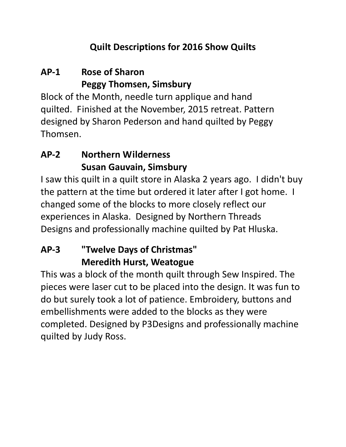#### **Quilt Descriptions for 2016 Show Quilts**

### **AP-1 Rose of Sharon Peggy Thomsen, Simsbury**

Block of the Month, needle turn applique and hand quilted. Finished at the November, 2015 retreat. Pattern designed by Sharon Pederson and hand quilted by Peggy Thomsen.

### **AP-2 Northern Wilderness Susan Gauvain, Simsbury**

I saw this quilt in a quilt store in Alaska 2 years ago. I didn't buy the pattern at the time but ordered it later after I got home. I changed some of the blocks to more closely reflect our experiences in Alaska. Designed by Northern Threads Designs and professionally machine quilted by Pat Hluska.

### **AP-3 "Twelve Days of Christmas" Meredith Hurst, Weatogue**

This was a block of the month quilt through Sew Inspired. The pieces were laser cut to be placed into the design. It was fun to do but surely took a lot of patience. Embroidery, buttons and embellishments were added to the blocks as they were completed. Designed by P3Designs and professionally machine quilted by Judy Ross.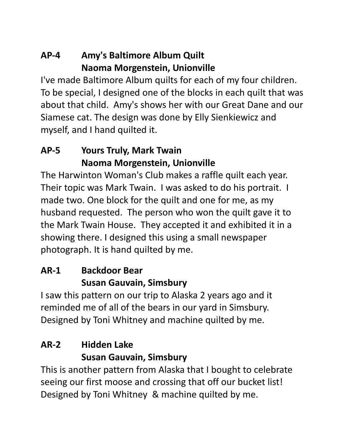### **AP-4 Amy's Baltimore Album Quilt Naoma Morgenstein, Unionville**

I've made Baltimore Album quilts for each of my four children. To be special, I designed one of the blocks in each quilt that was about that child. Amy's shows her with our Great Dane and our Siamese cat. The design was done by Elly Sienkiewicz and myself, and I hand quilted it.

### **AP-5 Yours Truly, Mark Twain Naoma Morgenstein, Unionville**

The Harwinton Woman's Club makes a raffle quilt each year. Their topic was Mark Twain. I was asked to do his portrait. I made two. One block for the quilt and one for me, as my husband requested. The person who won the quilt gave it to the Mark Twain House. They accepted it and exhibited it in a showing there. I designed this using a small newspaper photograph. It is hand quilted by me.

### **AR-1 Backdoor Bear Susan Gauvain, Simsbury**

I saw this pattern on our trip to Alaska 2 years ago and it reminded me of all of the bears in our yard in Simsbury. Designed by Toni Whitney and machine quilted by me.

### **AR-2 Hidden Lake Susan Gauvain, Simsbury**

This is another pattern from Alaska that I bought to celebrate seeing our first moose and crossing that off our bucket list! Designed by Toni Whitney & machine quilted by me.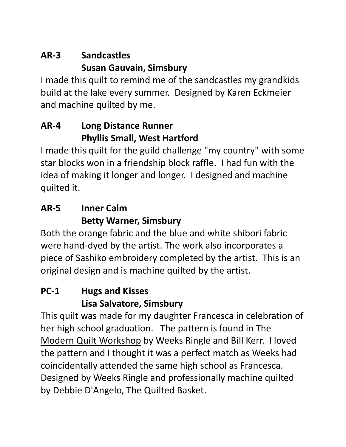## **AR-3 Sandcastles Susan Gauvain, Simsbury**

I made this quilt to remind me of the sandcastles my grandkids build at the lake every summer. Designed by Karen Eckmeier and machine quilted by me.

#### **AR-4 Long Distance Runner Phyllis Small, West Hartford**

I made this quilt for the guild challenge "my country" with some star blocks won in a friendship block raffle. I had fun with the idea of making it longer and longer. I designed and machine quilted it.

### **AR-5 Inner Calm Betty Warner, Simsbury**

Both the orange fabric and the blue and white shibori fabric were hand-dyed by the artist. The work also incorporates a piece of Sashiko embroidery completed by the artist. This is an original design and is machine quilted by the artist.

## **PC-1 Hugs and Kisses Lisa Salvatore, Simsbury**

This quilt was made for my daughter Francesca in celebration of her high school graduation. The pattern is found in The Modern Quilt Workshop by Weeks Ringle and Bill Kerr. I loved the pattern and I thought it was a perfect match as Weeks had coincidentally attended the same high school as Francesca. Designed by Weeks Ringle and professionally machine quilted by Debbie D'Angelo, The Quilted Basket.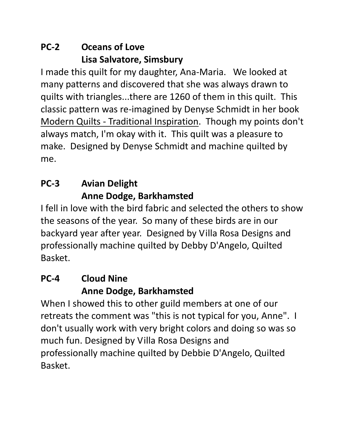### **PC-2 Oceans of Love Lisa Salvatore, Simsbury**

I made this quilt for my daughter, Ana-Maria. We looked at many patterns and discovered that she was always drawn to quilts with triangles...there are 1260 of them in this quilt. This classic pattern was re-imagined by Denyse Schmidt in her book Modern Quilts - Traditional Inspiration. Though my points don't always match, I'm okay with it. This quilt was a pleasure to make. Designed by Denyse Schmidt and machine quilted by me.

### **PC-3 Avian Delight Anne Dodge, Barkhamsted**

I fell in love with the bird fabric and selected the others to show the seasons of the year. So many of these birds are in our backyard year after year. Designed by Villa Rosa Designs and professionally machine quilted by Debby D'Angelo, Quilted Basket.

### **PC-4 Cloud Nine Anne Dodge, Barkhamsted**

When I showed this to other guild members at one of our retreats the comment was "this is not typical for you, Anne". I don't usually work with very bright colors and doing so was so much fun. Designed by Villa Rosa Designs and professionally machine quilted by Debbie D'Angelo, Quilted Basket.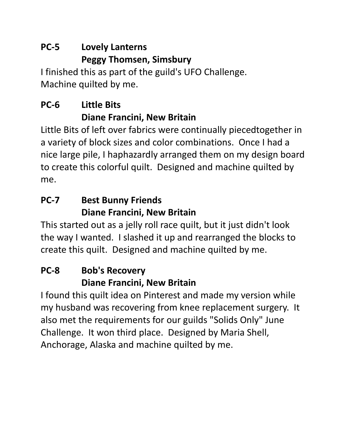## **PC-5 Lovely Lanterns Peggy Thomsen, Simsbury**

I finished this as part of the guild's UFO Challenge. Machine quilted by me.

## **PC-6 Little Bits Diane Francini, New Britain**

Little Bits of left over fabrics were continually piecedtogether in a variety of block sizes and color combinations. Once I had a nice large pile, I haphazardly arranged them on my design board to create this colorful quilt. Designed and machine quilted by me.

### **PC-7 Best Bunny Friends Diane Francini, New Britain**

This started out as a jelly roll race quilt, but it just didn't look the way I wanted. I slashed it up and rearranged the blocks to create this quilt. Designed and machine quilted by me.

## **PC-8 Bob's Recovery Diane Francini, New Britain**

I found this quilt idea on Pinterest and made my version while my husband was recovering from knee replacement surgery. It also met the requirements for our guilds "Solids Only" June Challenge. It won third place. Designed by Maria Shell, Anchorage, Alaska and machine quilted by me.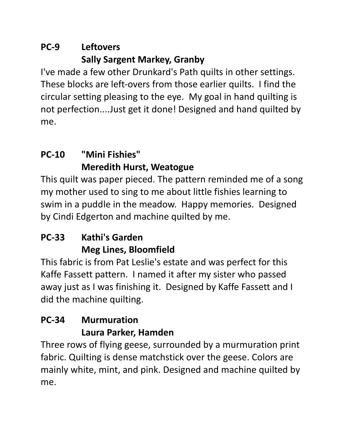### **PC-9 Leftovers Sally Sargent Markey, Granby**

I've made a few other Drunkard's Path quilts in other settings. These blocks are left-overs from those earlier quilts. I find the circular setting pleasing to the eye. My goal in hand quilting is not perfection....Just get it done! Designed and hand quilted by me.

## **PC-10 "Mini Fishies" Meredith Hurst, Weatogue**

This quilt was paper pieced. The pattern reminded me of a song my mother used to sing to me about little fishies learning to swim in a puddle in the meadow. Happy memories. Designed by Cindi Edgerton and machine quilted by me.

## **PC-33 Kathi's Garden Meg Lines, Bloomfield**

This fabric is from Pat Leslie's estate and was perfect for this Kaffe Fassett pattern. I named it after my sister who passed away just as I was finishing it. Designed by Kaffe Fassett and I did the machine quilting.

### **PC-34 Murmuration Laura Parker, Hamden**

Three rows of flying geese, surrounded by a murmuration print fabric. Quilting is dense matchstick over the geese. Colors are mainly white, mint, and pink. Designed and machine quilted by me.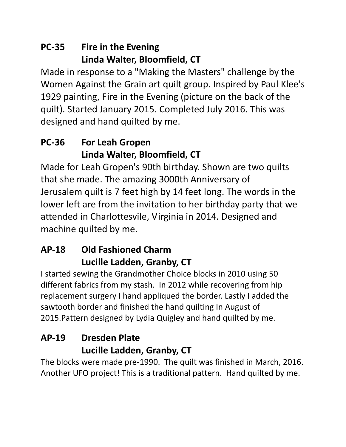### **PC-35 Fire in the Evening Linda Walter, Bloomfield, CT**

Made in response to a "Making the Masters" challenge by the Women Against the Grain art quilt group. Inspired by Paul Klee's 1929 painting, Fire in the Evening (picture on the back of the quilt). Started January 2015. Completed July 2016. This was designed and hand quilted by me.

### **PC-36 For Leah Gropen Linda Walter, Bloomfield, CT**

Made for Leah Gropen's 90th birthday. Shown are two quilts that she made. The amazing 3000th Anniversary of Jerusalem quilt is 7 feet high by 14 feet long. The words in the lower left are from the invitation to her birthday party that we attended in Charlottesvile, Virginia in 2014. Designed and machine quilted by me.

### **AP-18 Old Fashioned Charm Lucille Ladden, Granby, CT**

I started sewing the Grandmother Choice blocks in 2010 using 50 different fabrics from my stash. In 2012 while recovering from hip replacement surgery I hand appliqued the border. Lastly I added the sawtooth border and finished the hand quilting In August of 2015.Pattern designed by Lydia Quigley and hand quilted by me.

### **AP-19 Dresden Plate Lucille Ladden, Granby, CT**

The blocks were made pre-1990. The quilt was finished in March, 2016. Another UFO project! This is a traditional pattern. Hand quilted by me.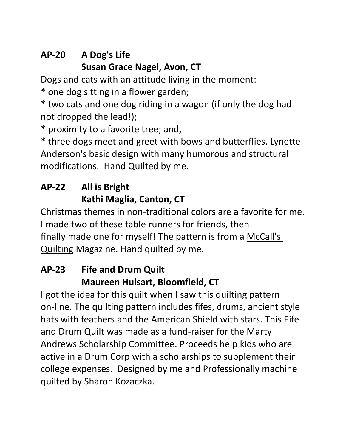## **AP-20 A Dog's Life Susan Grace Nagel, Avon, CT**

Dogs and cats with an attitude living in the moment:

\* one dog sitting in a flower garden;

\* two cats and one dog riding in a wagon (if only the dog had not dropped the lead!);

\* proximity to a favorite tree; and,

\* three dogs meet and greet with bows and butterflies. Lynette Anderson's basic design with many humorous and structural modifications. Hand Quilted by me.

## **AP-22 All is Bright Kathi Maglia, Canton, CT**

Christmas themes in non-traditional colors are a favorite for me. I made two of these table runners for friends, then finally made one for myself! The pattern is from a McCall's Quilting Magazine. Hand quilted by me.

#### **AP-23 Fife and Drum Quilt Maureen Hulsart, Bloomfield, CT**

I got the idea for this quilt when I saw this quilting pattern on-line. The quilting pattern includes fifes, drums, ancient style hats with feathers and the American Shield with stars. This Fife and Drum Quilt was made as a fund-raiser for the Marty Andrews Scholarship Committee. Proceeds help kids who are active in a Drum Corp with a scholarships to supplement their college expenses. Designed by me and Professionally machine quilted by Sharon Kozaczka.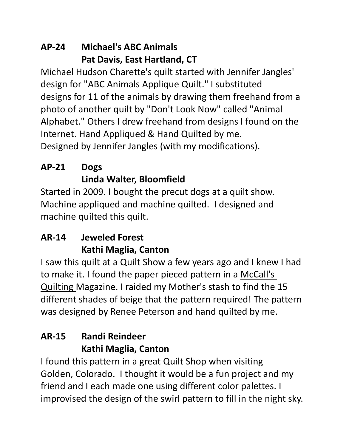#### **AP-24 Michael's ABC Animals Pat Davis, East Hartland, CT**

Michael Hudson Charette's quilt started with Jennifer Jangles' design for "ABC Animals Applique Quilt." I substituted designs for 11 of the animals by drawing them freehand from a photo of another quilt by "Don't Look Now" called "Animal Alphabet." Others I drew freehand from designs I found on the Internet. Hand Appliqued & Hand Quilted by me. Designed by Jennifer Jangles (with my modifications).

## **AP-21 Dogs Linda Walter, Bloomfield**

Started in 2009. I bought the precut dogs at a quilt show. Machine appliqued and machine quilted. I designed and machine quilted this quilt.

## **AR-14 Jeweled Forest Kathi Maglia, Canton**

I saw this quilt at a Quilt Show a few years ago and I knew I had to make it. I found the paper pieced pattern in a McCall's Quilting Magazine. I raided my Mother's stash to find the 15 different shades of beige that the pattern required! The pattern was designed by Renee Peterson and hand quilted by me.

## **AR-15 Randi Reindeer Kathi Maglia, Canton**

I found this pattern in a great Quilt Shop when visiting Golden, Colorado. I thought it would be a fun project and my friend and I each made one using different color palettes. I improvised the design of the swirl pattern to fill in the night sky.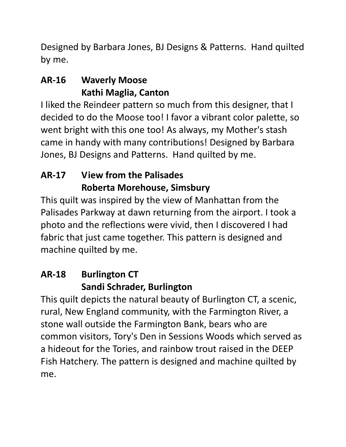Designed by Barbara Jones, BJ Designs & Patterns. Hand quilted by me.

### **AR-16 Waverly Moose Kathi Maglia, Canton**

I liked the Reindeer pattern so much from this designer, that I decided to do the Moose too! I favor a vibrant color palette, so went bright with this one too! As always, my Mother's stash came in handy with many contributions! Designed by Barbara Jones, BJ Designs and Patterns. Hand quilted by me.

### **AR-17 View from the Palisades Roberta Morehouse, Simsbury**

This quilt was inspired by the view of Manhattan from the Palisades Parkway at dawn returning from the airport. I took a photo and the reflections were vivid, then I discovered I had fabric that just came together. This pattern is designed and machine quilted by me.

#### **AR-18 Burlington CT Sandi Schrader, Burlington**

This quilt depicts the natural beauty of Burlington CT, a scenic, rural, New England community, with the Farmington River, a stone wall outside the Farmington Bank, bears who are common visitors, Tory's Den in Sessions Woods which served as a hideout for the Tories, and rainbow trout raised in the DEEP Fish Hatchery. The pattern is designed and machine quilted by me.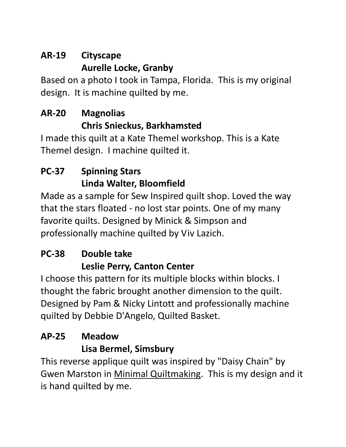## **AR-19 Cityscape Aurelle Locke, Granby**

Based on a photo I took in Tampa, Florida. This is my original design. It is machine quilted by me.

### **AR-20 Magnolias Chris Snieckus, Barkhamsted**

I made this quilt at a Kate Themel workshop. This is a Kate Themel design. I machine quilted it.

## **PC-37 Spinning Stars Linda Walter, Bloomfield**

Made as a sample for Sew Inspired quilt shop. Loved the way that the stars floated - no lost star points. One of my many favorite quilts. Designed by Minick & Simpson and professionally machine quilted by Viv Lazich.

## **PC-38 Double take Leslie Perry, Canton Center**

I choose this pattern for its multiple blocks within blocks. I thought the fabric brought another dimension to the quilt. Designed by Pam & Nicky Lintott and professionally machine quilted by Debbie D'Angelo, Quilted Basket.

## **AP-25 Meadow Lisa Bermel, Simsbury**

This reverse applique quilt was inspired by "Daisy Chain" by Gwen Marston in Minimal Quiltmaking. This is my design and it is hand quilted by me.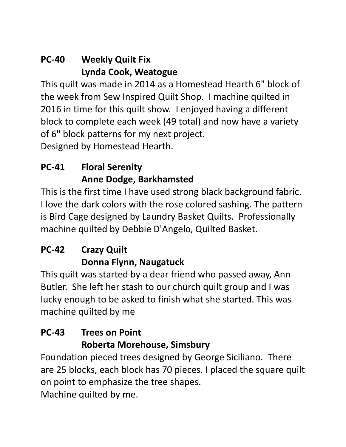#### **PC-40 Weekly Quilt Fix Lynda Cook, Weatogue**

This quilt was made in 2014 as a Homestead Hearth 6" block of the week from Sew Inspired Quilt Shop. I machine quilted in 2016 in time for this quilt show. I enjoyed having a different block to complete each week (49 total) and now have a variety of 6" block patterns for my next project. Designed by Homestead Hearth.

## **PC-41 Floral Serenity Anne Dodge, Barkhamsted**

This is the first time I have used strong black background fabric. I love the dark colors with the rose colored sashing. The pattern is Bird Cage designed by Laundry Basket Quilts. Professionally machine quilted by Debbie D'Angelo, Quilted Basket.

### **PC-42 Crazy Quilt Donna Flynn, Naugatuck**

This quilt was started by a dear friend who passed away, Ann Butler. She left her stash to our church quilt group and I was lucky enough to be asked to finish what she started. This was machine quilted by me

### **PC-43 Trees on Point Roberta Morehouse, Simsbury**

Foundation pieced trees designed by George Siciliano. There are 25 blocks, each block has 70 pieces. I placed the square quilt on point to emphasize the tree shapes.

Machine quilted by me.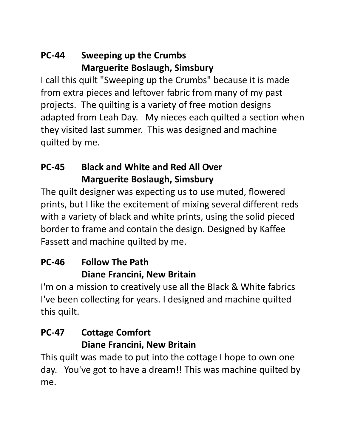### **PC-44 Sweeping up the Crumbs Marguerite Boslaugh, Simsbury**

I call this quilt "Sweeping up the Crumbs" because it is made from extra pieces and leftover fabric from many of my past projects. The quilting is a variety of free motion designs adapted from Leah Day. My nieces each quilted a section when they visited last summer. This was designed and machine quilted by me.

#### **PC-45 Black and White and Red All Over Marguerite Boslaugh, Simsbury**

The quilt designer was expecting us to use muted, flowered prints, but I like the excitement of mixing several different reds with a variety of black and white prints, using the solid pieced border to frame and contain the design. Designed by Kaffee Fassett and machine quilted by me.

### **PC-46 Follow The Path Diane Francini, New Britain**

I'm on a mission to creatively use all the Black & White fabrics I've been collecting for years. I designed and machine quilted this quilt.

#### **PC-47 Cottage Comfort Diane Francini, New Britain**

This quilt was made to put into the cottage I hope to own one day. You've got to have a dream!! This was machine quilted by me.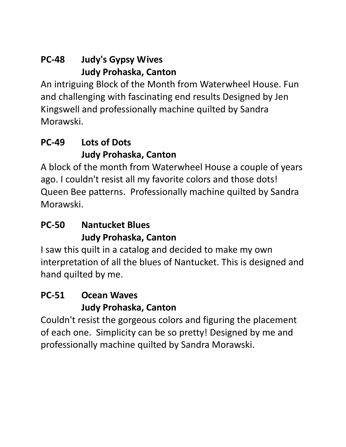#### **PC-48 Judy's Gypsy Wives Judy Prohaska, Canton**

An intriguing Block of the Month from Waterwheel House. Fun and challenging with fascinating end results Designed by Jen Kingswell and professionally machine quilted by Sandra Morawski.

### **PC-49 Lots of Dots Judy Prohaska, Canton**

A block of the month from Waterwheel House a couple of years ago. I couldn't resist all my favorite colors and those dots! Queen Bee patterns. Professionally machine quilted by Sandra Morawski.

### **PC-50 Nantucket Blues Judy Prohaska, Canton**

I saw this quilt in a catalog and decided to make my own interpretation of all the blues of Nantucket. This is designed and hand quilted by me.

### **PC-51 Ocean Waves Judy Prohaska, Canton**

Couldn't resist the gorgeous colors and figuring the placement of each one. Simplicity can be so pretty! Designed by me and professionally machine quilted by Sandra Morawski.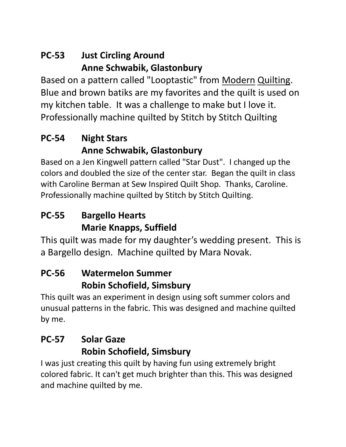### **PC-53 Just Circling Around Anne Schwabik, Glastonbury**

Based on a pattern called "Looptastic" from Modern Quilting. Blue and brown batiks are my favorites and the quilt is used on my kitchen table. It was a challenge to make but I love it. Professionally machine quilted by Stitch by Stitch Quilting

### **PC-54 Night Stars Anne Schwabik, Glastonbury**

Based on a Jen Kingwell pattern called "Star Dust". I changed up the colors and doubled the size of the center star. Began the quilt in class with Caroline Berman at Sew Inspired Quilt Shop. Thanks, Caroline. Professionally machine quilted by Stitch by Stitch Quilting.

### **PC-55 Bargello Hearts Marie Knapps, Suffield**

This quilt was made for my daughter's wedding present. This is a Bargello design. Machine quilted by Mara Novak.

#### **PC-56 Watermelon Summer Robin Schofield, Simsbury**

This quilt was an experiment in design using soft summer colors and unusual patterns in the fabric. This was designed and machine quilted by me.

### **PC-57 Solar Gaze Robin Schofield, Simsbury**

I was just creating this quilt by having fun using extremely bright colored fabric. It can't get much brighter than this. This was designed and machine quilted by me.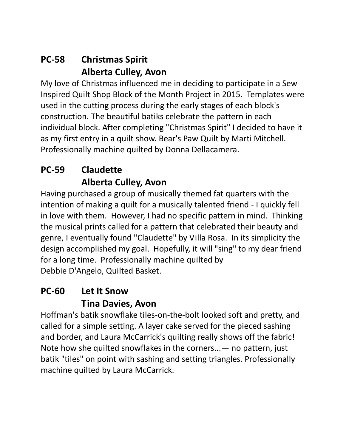#### **PC-58 Christmas Spirit Alberta Culley, Avon**

My love of Christmas influenced me in deciding to participate in a Sew Inspired Quilt Shop Block of the Month Project in 2015. Templates were used in the cutting process during the early stages of each block's construction. The beautiful batiks celebrate the pattern in each individual block. After completing "Christmas Spirit" I decided to have it as my first entry in a quilt show. Bear's Paw Quilt by Marti Mitchell. Professionally machine quilted by Donna Dellacamera.

### **PC-59 Claudette Alberta Culley, Avon**

Having purchased a group of musically themed fat quarters with the intention of making a quilt for a musically talented friend - I quickly fell in love with them. However, I had no specific pattern in mind. Thinking the musical prints called for a pattern that celebrated their beauty and genre, I eventually found "Claudette" by Villa Rosa. In its simplicity the design accomplished my goal. Hopefully, it will "sing" to my dear friend for a long time. Professionally machine quilted by Debbie D'Angelo, Quilted Basket.

#### **PC-60 Let It Snow Tina Davies, Avon**

Hoffman's batik snowflake tiles-on-the-bolt looked soft and pretty, and called for a simple setting. A layer cake served for the pieced sashing and border, and Laura McCarrick's quilting really shows off the fabric! Note how she quilted snowflakes in the corners...— no pattern, just batik "tiles" on point with sashing and setting triangles. Professionally machine quilted by Laura McCarrick.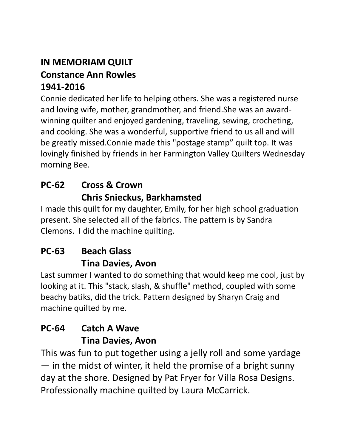#### **IN MEMORIAM QUILT Constance Ann Rowles 1941-2016**

Connie dedicated her life to helping others. She was a registered nurse and loving wife, mother, grandmother, and friend.She was an awardwinning quilter and enjoyed gardening, traveling, sewing, crocheting, and cooking. She was a wonderful, supportive friend to us all and will be greatly missed.Connie made this "postage stamp" quilt top. It was lovingly finished by friends in her Farmington Valley Quilters Wednesday morning Bee.

#### **PC-62 Cross & Crown Chris Snieckus, Barkhamsted**

I made this quilt for my daughter, Emily, for her high school graduation present. She selected all of the fabrics. The pattern is by Sandra Clemons. I did the machine quilting.

## **PC-63 Beach Glass Tina Davies, Avon**

Last summer I wanted to do something that would keep me cool, just by looking at it. This "stack, slash, & shuffle" method, coupled with some beachy batiks, did the trick. Pattern designed by Sharyn Craig and machine quilted by me.

## **PC-64 Catch A Wave Tina Davies, Avon**

This was fun to put together using a jelly roll and some yardage — in the midst of winter, it held the promise of a bright sunny day at the shore. Designed by Pat Fryer for Villa Rosa Designs. Professionally machine quilted by Laura McCarrick.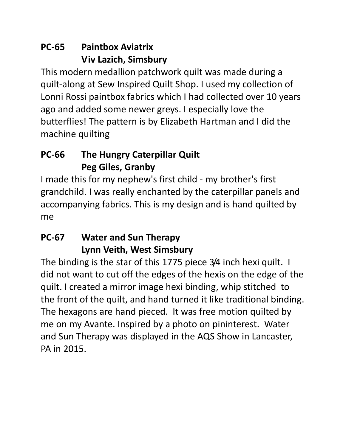### **PC-65 Paintbox Aviatrix Viv Lazich, Simsbury**

This modern medallion patchwork quilt was made during a quilt-along at Sew Inspired Quilt Shop. I used my collection of Lonni Rossi paintbox fabrics which I had collected over 10 years ago and added some newer greys. I especially love the butterflies! The pattern is by Elizabeth Hartman and I did the machine quilting

### **PC-66 The Hungry Caterpillar Quilt Peg Giles, Granby**

I made this for my nephew's first child - my brother's first grandchild. I was really enchanted by the caterpillar panels and accompanying fabrics. This is my design and is hand quilted by me

### **PC-67 Water and Sun Therapy Lynn Veith, West Simsbury**

The binding is the star of this 1775 piece 3/4 inch hexi quilt. I did not want to cut off the edges of the hexis on the edge of the quilt. I created a mirror image hexi binding, whip stitched to the front of the quilt, and hand turned it like traditional binding. The hexagons are hand pieced. It was free motion quilted by me on my Avante. Inspired by a photo on pininterest. Water and Sun Therapy was displayed in the AQS Show in Lancaster, PA in 2015.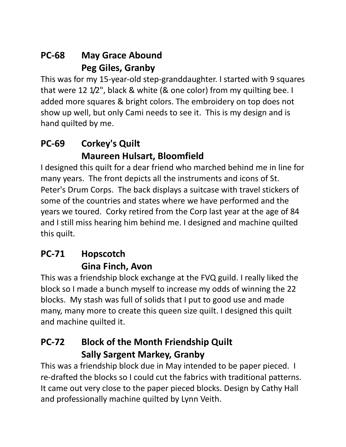### **PC-68 May Grace Abound Peg Giles, Granby**

This was for my 15-year-old step-granddaughter. I started with 9 squares that were 12 1/2", black & white (& one color) from my quilting bee. I added more squares & bright colors. The embroidery on top does not show up well, but only Cami needs to see it. This is my design and is hand quilted by me.

### **PC-69 Corkey's Quilt Maureen Hulsart, Bloomfield**

I designed this quilt for a dear friend who marched behind me in line for many years. The front depicts all the instruments and icons of St. Peter's Drum Corps. The back displays a suitcase with travel stickers of some of the countries and states where we have performed and the years we toured. Corky retired from the Corp last year at the age of 84 and I still miss hearing him behind me. I designed and machine quilted this quilt.

## **PC-71 Hopscotch Gina Finch, Avon**

This was a friendship block exchange at the FVQ guild. I really liked the block so I made a bunch myself to increase my odds of winning the 22 blocks. My stash was full of solids that I put to good use and made many, many more to create this queen size quilt. I designed this quilt and machine quilted it.

#### **PC-72 Block of the Month Friendship Quilt Sally Sargent Markey, Granby**

This was a friendship block due in May intended to be paper pieced. I re-drafted the blocks so I could cut the fabrics with traditional patterns. It came out very close to the paper pieced blocks. Design by Cathy Hall and professionally machine quilted by Lynn Veith.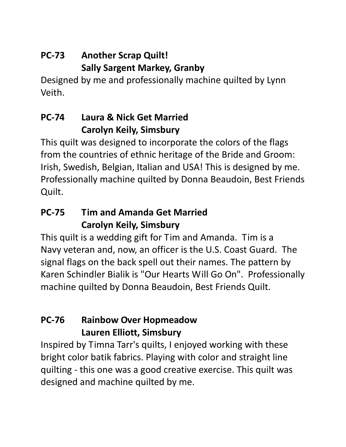## **PC-73 Another Scrap Quilt! Sally Sargent Markey, Granby**

Designed by me and professionally machine quilted by Lynn Veith.

### **PC-74 Laura & Nick Get Married Carolyn Keily, Simsbury**

This quilt was designed to incorporate the colors of the flags from the countries of ethnic heritage of the Bride and Groom: Irish, Swedish, Belgian, Italian and USA! This is designed by me. Professionally machine quilted by Donna Beaudoin, Best Friends Quilt.

#### **PC-75 Tim and Amanda Get Married Carolyn Keily, Simsbury**

This quilt is a wedding gift for Tim and Amanda. Tim is a Navy veteran and, now, an officer is the U.S. Coast Guard. The signal flags on the back spell out their names. The pattern by Karen Schindler Bialik is "Our Hearts Will Go On". Professionally machine quilted by Donna Beaudoin, Best Friends Quilt.

#### **PC-76 Rainbow Over Hopmeadow Lauren Elliott, Simsbury**

Inspired by Timna Tarr's quilts, I enjoyed working with these bright color batik fabrics. Playing with color and straight line quilting - this one was a good creative exercise. This quilt was designed and machine quilted by me.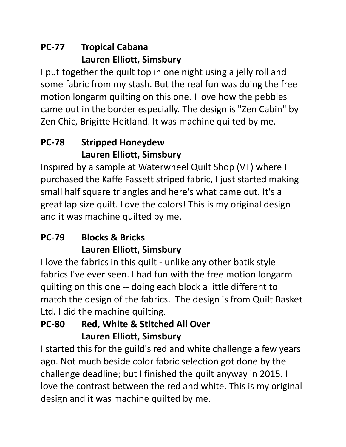### **PC-77 Tropical Cabana Lauren Elliott, Simsbury**

I put together the quilt top in one night using a jelly roll and some fabric from my stash. But the real fun was doing the free motion longarm quilting on this one. I love how the pebbles came out in the border especially. The design is "Zen Cabin" by Zen Chic, Brigitte Heitland. It was machine quilted by me.

## **PC-78 Stripped Honeydew Lauren Elliott, Simsbury**

Inspired by a sample at Waterwheel Quilt Shop (VT) where I purchased the Kaffe Fassett striped fabric, I just started making small half square triangles and here's what came out. It's a great lap size quilt. Love the colors! This is my original design and it was machine quilted by me.

## **PC-79 Blocks & Bricks Lauren Elliott, Simsbury**

I love the fabrics in this quilt - unlike any other batik style fabrics I've ever seen. I had fun with the free motion longarm quilting on this one -- doing each block a little different to match the design of the fabrics. The design is from Quilt Basket Ltd. I did the machine quilting.

### **PC-80 Red, White & Stitched All Over Lauren Elliott, Simsbury**

I started this for the guild's red and white challenge a few years ago. Not much beside color fabric selection got done by the challenge deadline; but I finished the quilt anyway in 2015. I love the contrast between the red and white. This is my original design and it was machine quilted by me.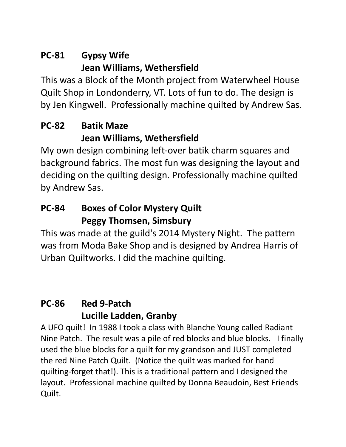## **PC-81 Gypsy Wife Jean Williams, Wethersfield**

This was a Block of the Month project from Waterwheel House Quilt Shop in Londonderry, VT. Lots of fun to do. The design is by Jen Kingwell. Professionally machine quilted by Andrew Sas.

#### **PC-82 Batik Maze Jean Williams, Wethersfield**

My own design combining left-over batik charm squares and background fabrics. The most fun was designing the layout and deciding on the quilting design. Professionally machine quilted by Andrew Sas.

#### **PC-84 Boxes of Color Mystery Quilt Peggy Thomsen, Simsbury**

This was made at the guild's 2014 Mystery Night. The pattern was from Moda Bake Shop and is designed by Andrea Harris of Urban Quiltworks. I did the machine quilting.

## **PC-86 Red 9-Patch Lucille Ladden, Granby**

A UFO quilt! In 1988 I took a class with Blanche Young called Radiant Nine Patch. The result was a pile of red blocks and blue blocks. I finally used the blue blocks for a quilt for my grandson and JUST completed the red Nine Patch Quilt. (Notice the quilt was marked for hand quilting-forget that!). This is a traditional pattern and I designed the layout. Professional machine quilted by Donna Beaudoin, Best Friends Quilt.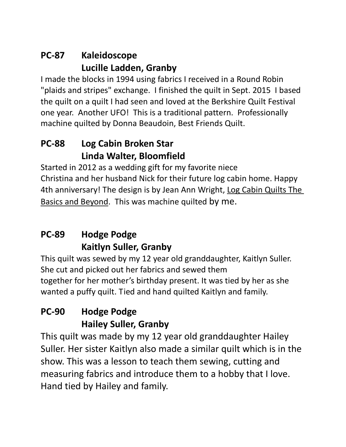### **PC-87 Kaleidoscope Lucille Ladden, Granby**

I made the blocks in 1994 using fabrics I received in a Round Robin "plaids and stripes" exchange. I finished the quilt in Sept. 2015 I based the quilt on a quilt I had seen and loved at the Berkshire Quilt Festival one year. Another UFO! This is a traditional pattern. Professionally machine quilted by Donna Beaudoin, Best Friends Quilt.

#### **PC-88 Log Cabin Broken Star Linda Walter, Bloomfield**

Started in 2012 as a wedding gift for my favorite niece Christina and her husband Nick for their future log cabin home. Happy 4th anniversary! The design is by Jean Ann Wright, Log Cabin Quilts The Basics and Beyond. This was machine quilted by me.

### **PC-89 Hodge Podge Kaitlyn Suller, Granby**

This quilt was sewed by my 12 year old granddaughter, Kaitlyn Suller. She cut and picked out her fabrics and sewed them together for her mother's birthday present. It was tied by her as she wanted a puffy quilt. Tied and hand quilted Kaitlyn and family.

### **PC-90 Hodge Podge Hailey Suller, Granby**

This quilt was made by my 12 year old granddaughter Hailey Suller. Her sister Kaitlyn also made a similar quilt which is in the show. This was a lesson to teach them sewing, cutting and measuring fabrics and introduce them to a hobby that I love. Hand tied by Hailey and family.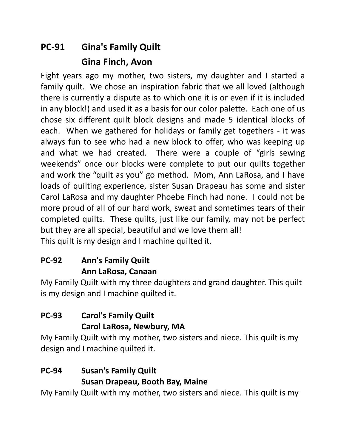## **PC-91 Gina's Family Quilt Gina Finch, Avon**

Eight years ago my mother, two sisters, my daughter and I started a family quilt. We chose an inspiration fabric that we all loved (although there is currently a dispute as to which one it is or even if it is included in any block!) and used it as a basis for our color palette. Each one of us chose six different quilt block designs and made 5 identical blocks of each. When we gathered for holidays or family get togethers - it was always fun to see who had a new block to offer, who was keeping up and what we had created. There were a couple of "girls sewing weekends" once our blocks were complete to put our quilts together and work the "quilt as you" go method. Mom, Ann LaRosa, and I have loads of quilting experience, sister Susan Drapeau has some and sister Carol LaRosa and my daughter Phoebe Finch had none. I could not be more proud of all of our hard work, sweat and sometimes tears of their completed quilts. These quilts, just like our family, may not be perfect but they are all special, beautiful and we love them all! This quilt is my design and I machine quilted it.

#### **PC-92 Ann's Family Quilt Ann LaRosa, Canaan**

My Family Quilt with my three daughters and grand daughter. This quilt is my design and I machine quilted it.

#### **PC-93 Carol's Family Quilt Carol LaRosa, Newbury, MA**

My Family Quilt with my mother, two sisters and niece. This quilt is my design and I machine quilted it.

#### **PC-94 Susan's Family Quilt Susan Drapeau, Booth Bay, Maine**

My Family Quilt with my mother, two sisters and niece. This quilt is my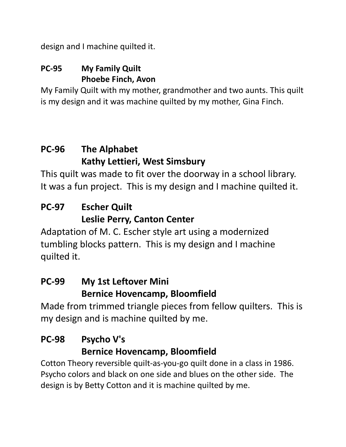design and I machine quilted it.

#### **PC-95 My Family Quilt Phoebe Finch, Avon**

My Family Quilt with my mother, grandmother and two aunts. This quilt is my design and it was machine quilted by my mother, Gina Finch.

#### **PC-96 The Alphabet Kathy Lettieri, West Simsbury**

This quilt was made to fit over the doorway in a school library. It was a fun project. This is my design and I machine quilted it.

#### **PC-97 Escher Quilt Leslie Perry, Canton Center**

Adaptation of M. C. Escher style art using a modernized tumbling blocks pattern. This is my design and I machine quilted it.

#### **PC-99 My 1st Leftover Mini Bernice Hovencamp, Bloomfield**

Made from trimmed triangle pieces from fellow quilters. This is my design and is machine quilted by me.

#### **PC-98 Psycho V's Bernice Hovencamp, Bloomfield**

Cotton Theory reversible quilt-as-you-go quilt done in a class in 1986. Psycho colors and black on one side and blues on the other side. The design is by Betty Cotton and it is machine quilted by me.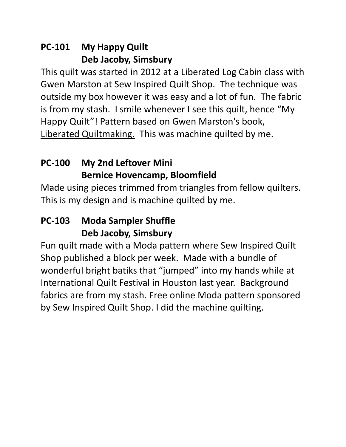#### **PC-101 My Happy Quilt Deb Jacoby, Simsbury**

This quilt was started in 2012 at a Liberated Log Cabin class with Gwen Marston at Sew Inspired Quilt Shop. The technique was outside my box however it was easy and a lot of fun. The fabric is from my stash. I smile whenever I see this quilt, hence "My Happy Quilt"! Pattern based on Gwen Marston's book, Liberated Quiltmaking. This was machine quilted by me.

### **PC-100 My 2nd Leftover Mini Bernice Hovencamp, Bloomfield**

Made using pieces trimmed from triangles from fellow quilters. This is my design and is machine quilted by me.

#### **PC-103 Moda Sampler Shuffle Deb Jacoby, Simsbury**

Fun quilt made with a Moda pattern where Sew Inspired Quilt Shop published a block per week. Made with a bundle of wonderful bright batiks that "jumped" into my hands while at International Quilt Festival in Houston last year. Background fabrics are from my stash. Free online Moda pattern sponsored by Sew Inspired Quilt Shop. I did the machine quilting.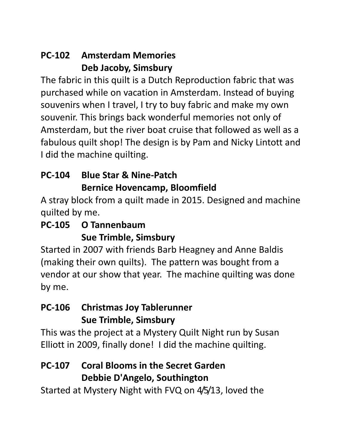### **PC-102 Amsterdam Memories Deb Jacoby, Simsbury**

The fabric in this quilt is a Dutch Reproduction fabric that was purchased while on vacation in Amsterdam. Instead of buying souvenirs when I travel, I try to buy fabric and make my own souvenir. This brings back wonderful memories not only of Amsterdam, but the river boat cruise that followed as well as a fabulous quilt shop! The design is by Pam and Nicky Lintott and I did the machine quilting.

### **PC-104 Blue Star & Nine-Patch Bernice Hovencamp, Bloomfield**

A stray block from a quilt made in 2015. Designed and machine quilted by me.

#### **PC-105 O Tannenbaum Sue Trimble, Simsbury**

Started in 2007 with friends Barb Heagney and Anne Baldis (making their own quilts). The pattern was bought from a vendor at our show that year. The machine quilting was done by me.

#### **PC-106 Christmas Joy Tablerunner Sue Trimble, Simsbury**

This was the project at a Mystery Quilt Night run by Susan Elliott in 2009, finally done! I did the machine quilting.

#### **PC-107 Coral Blooms in the Secret Garden Debbie D'Angelo, Southington**

Started at Mystery Night with FVQ on 4/5/13, loved the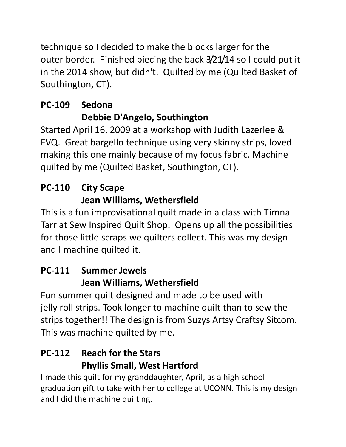technique so I decided to make the blocks larger for the outer border. Finished piecing the back 3/21/14 so I could put it in the 2014 show, but didn't. Quilted by me (Quilted Basket of Southington, CT).

## **PC-109 Sedona Debbie D'Angelo, Southington**

Started April 16, 2009 at a workshop with Judith Lazerlee & FVQ. Great bargello technique using very skinny strips, loved making this one mainly because of my focus fabric. Machine quilted by me (Quilted Basket, Southington, CT).

## **PC-110 City Scape Jean Williams, Wethersfield**

This is a fun improvisational quilt made in a class with Timna Tarr at Sew Inspired Quilt Shop. Opens up all the possibilities for those little scraps we quilters collect. This was my design and I machine quilted it.

## **PC-111 Summer Jewels Jean Williams, Wethersfield**

Fun summer quilt designed and made to be used with jelly roll strips. Took longer to machine quilt than to sew the strips together!! The design is from Suzys Artsy Craftsy Sitcom. This was machine quilted by me.

### **PC-112 Reach for the Stars Phyllis Small, West Hartford**

I made this quilt for my granddaughter, April, as a high school graduation gift to take with her to college at UCONN. This is my design and I did the machine quilting.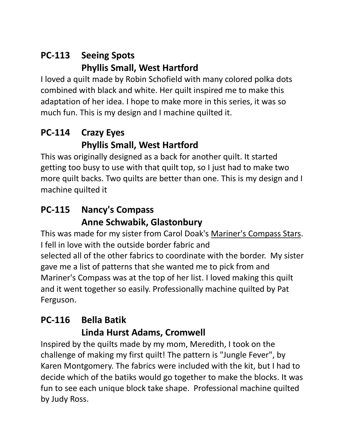### **PC-113 Seeing Spots Phyllis Small, West Hartford**

I loved a quilt made by Robin Schofield with many colored polka dots combined with black and white. Her quilt inspired me to make this adaptation of her idea. I hope to make more in this series, it was so much fun. This is my design and I machine quilted it.

#### **PC-114 Crazy Eyes Phyllis Small, West Hartford**

This was originally designed as a back for another quilt. It started getting too busy to use with that quilt top, so I just had to make two more quilt backs. Two quilts are better than one. This is my design and I machine quilted it

#### **PC-115 Nancy's Compass Anne Schwabik, Glastonbury**

This was made for my sister from Carol Doak's Mariner's Compass Stars. I fell in love with the outside border fabric and selected all of the other fabrics to coordinate with the border. My sister gave me a list of patterns that she wanted me to pick from and Mariner's Compass was at the top of her list. I loved making this quilt and it went together so easily. Professionally machine quilted by Pat Ferguson.

#### **PC-116 Bella Batik Linda Hurst Adams, Cromwell**

Inspired by the quilts made by my mom, Meredith, I took on the challenge of making my first quilt! The pattern is "Jungle Fever", by Karen Montgomery. The fabrics were included with the kit, but I had to decide which of the batiks would go together to make the blocks. It was fun to see each unique block take shape. Professional machine quilted by Judy Ross.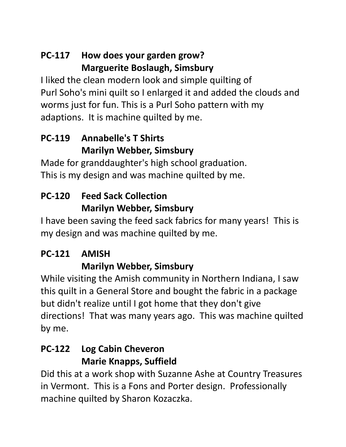### **PC-117 How does your garden grow? Marguerite Boslaugh, Simsbury**

I liked the clean modern look and simple quilting of Purl Soho's mini quilt so I enlarged it and added the clouds and worms just for fun. This is a Purl Soho pattern with my adaptions. It is machine quilted by me.

### **PC-119 Annabelle's T Shirts Marilyn Webber, Simsbury**

Made for granddaughter's high school graduation. This is my design and was machine quilted by me.

## **PC-120 Feed Sack Collection Marilyn Webber, Simsbury**

I have been saving the feed sack fabrics for many years! This is my design and was machine quilted by me.

## **PC-121 AMISH**

## **Marilyn Webber, Simsbury**

While visiting the Amish community in Northern Indiana, I saw this quilt in a General Store and bought the fabric in a package but didn't realize until I got home that they don't give directions! That was many years ago. This was machine quilted by me.

#### **PC-122 Log Cabin Cheveron Marie Knapps, Suffield**

Did this at a work shop with Suzanne Ashe at Country Treasures in Vermont. This is a Fons and Porter design. Professionally machine quilted by Sharon Kozaczka.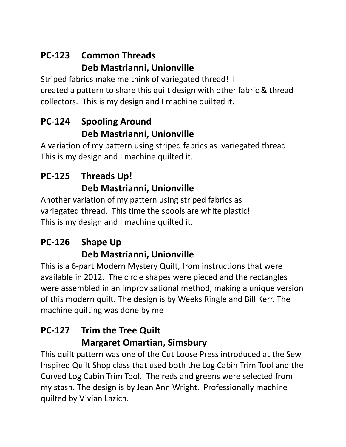### **PC-123 Common Threads Deb Mastrianni, Unionville**

Striped fabrics make me think of variegated thread! I created a pattern to share this quilt design with other fabric & thread collectors. This is my design and I machine quilted it.

#### **PC-124 Spooling Around Deb Mastrianni, Unionville**

A variation of my pattern using striped fabrics as variegated thread. This is my design and I machine quilted it..

## **PC-125 Threads Up! Deb Mastrianni, Unionville**

Another variation of my pattern using striped fabrics as variegated thread. This time the spools are white plastic! This is my design and I machine quilted it.

### **PC-126 Shape Up Deb Mastrianni, Unionville**

This is a 6-part Modern Mystery Quilt, from instructions that were available in 2012. The circle shapes were pieced and the rectangles were assembled in an improvisational method, making a unique version of this modern quilt. The design is by Weeks Ringle and Bill Kerr. The machine quilting was done by me

## **PC-127 Trim the Tree Quilt Margaret Omartian, Simsbury**

This quilt pattern was one of the Cut Loose Press introduced at the Sew Inspired Quilt Shop class that used both the Log Cabin Trim Tool and the Curved Log Cabin Trim Tool. The reds and greens were selected from my stash. The design is by Jean Ann Wright. Professionally machine quilted by Vivian Lazich.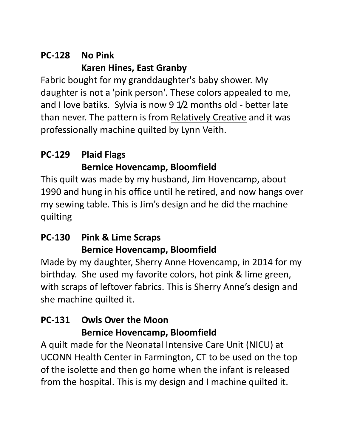## **PC-128 No Pink Karen Hines, East Granby**

Fabric bought for my granddaughter's baby shower. My daughter is not a 'pink person'. These colors appealed to me, and I love batiks. Sylvia is now 9 1/2 months old - better late than never. The pattern is from Relatively Creative and it was professionally machine quilted by Lynn Veith.

### **PC-129 Plaid Flags Bernice Hovencamp, Bloomfield**

This quilt was made by my husband, Jim Hovencamp, about 1990 and hung in his office until he retired, and now hangs over my sewing table. This is Jim's design and he did the machine quilting

#### **PC-130 Pink & Lime Scraps Bernice Hovencamp, Bloomfield**

Made by my daughter, Sherry Anne Hovencamp, in 2014 for my birthday. She used my favorite colors, hot pink & lime green, with scraps of leftover fabrics. This is Sherry Anne's design and she machine quilted it.

#### **PC-131 Owls Over the Moon Bernice Hovencamp, Bloomfield**

A quilt made for the Neonatal Intensive Care Unit (NICU) at UCONN Health Center in Farmington, CT to be used on the top of the isolette and then go home when the infant is released from the hospital. This is my design and I machine quilted it.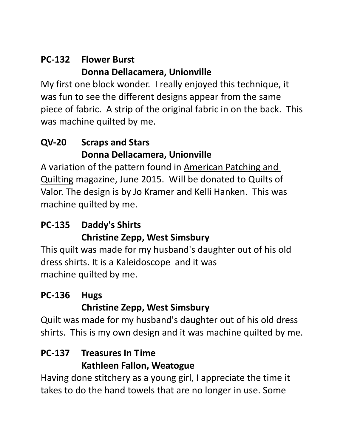### **PC-132 Flower Burst Donna Dellacamera, Unionville**

My first one block wonder. I really enjoyed this technique, it was fun to see the different designs appear from the same piece of fabric. A strip of the original fabric in on the back. This was machine quilted by me.

### **QV-20 Scraps and Stars Donna Dellacamera, Unionville**

A variation of the pattern found in American Patching and Quilting magazine, June 2015. Will be donated to Quilts of Valor. The design is by Jo Kramer and Kelli Hanken. This was machine quilted by me.

#### **PC-135 Daddy's Shirts Christine Zepp, West Simsbury**

This quilt was made for my husband's daughter out of his old dress shirts. It is a Kaleidoscope and it was machine quilted by me.

### **PC-136 Hugs Christine Zepp, West Simsbury**

Quilt was made for my husband's daughter out of his old dress shirts. This is my own design and it was machine quilted by me.

### **PC-137 Treasures In Time Kathleen Fallon, Weatogue**

Having done stitchery as a young girl, I appreciate the time it takes to do the hand towels that are no longer in use. Some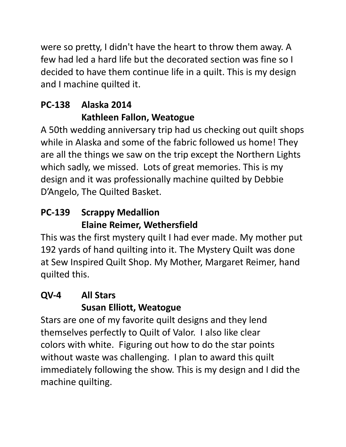were so pretty, I didn't have the heart to throw them away. A few had led a hard life but the decorated section was fine so I decided to have them continue life in a quilt. This is my design and I machine quilted it.

## **PC-138 Alaska 2014 Kathleen Fallon, Weatogue**

A 50th wedding anniversary trip had us checking out quilt shops while in Alaska and some of the fabric followed us home! They are all the things we saw on the trip except the Northern Lights which sadly, we missed. Lots of great memories. This is my design and it was professionally machine quilted by Debbie D'Angelo, The Quilted Basket.

## **PC-139 Scrappy Medallion Elaine Reimer, Wethersfield**

This was the first mystery quilt I had ever made. My mother put 192 yards of hand quilting into it. The Mystery Quilt was done at Sew Inspired Quilt Shop. My Mother, Margaret Reimer, hand quilted this.

## **QV-4 All Stars Susan Elliott, Weatogue**

Stars are one of my favorite quilt designs and they lend themselves perfectly to Quilt of Valor. I also like clear colors with white. Figuring out how to do the star points without waste was challenging. I plan to award this quilt immediately following the show. This is my design and I did the machine quilting.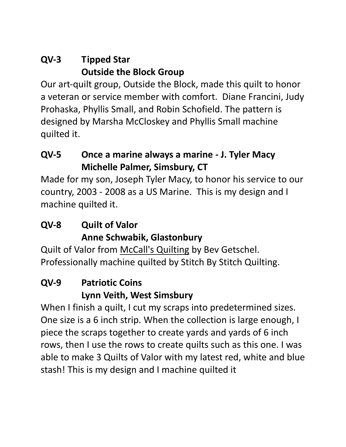#### **QV-3 Tipped Star Outside the Block Group**

Our art-quilt group, Outside the Block, made this quilt to honor a veteran or service member with comfort. Diane Francini, Judy Prohaska, Phyllis Small, and Robin Schofield. The pattern is designed by Marsha McCloskey and Phyllis Small machine quilted it.

#### **QV-5 Once a marine always a marine - J. Tyler Macy Michelle Palmer, Simsbury, CT**

Made for my son, Joseph Tyler Macy, to honor his service to our country, 2003 - 2008 as a US Marine. This is my design and I machine quilted it.

#### **QV-8 Quilt of Valor Anne Schwabik, Glastonbury**

Quilt of Valor from McCall's Quilting by Bev Getschel. Professionally machine quilted by Stitch By Stitch Quilting.

### **QV-9 Patriotic Coins Lynn Veith, West Simsbury**

When I finish a quilt, I cut my scraps into predetermined sizes. One size is a 6 inch strip. When the collection is large enough, I piece the scraps together to create yards and yards of 6 inch rows, then I use the rows to create quilts such as this one. I was able to make 3 Quilts of Valor with my latest red, white and blue stash! This is my design and I machine quilted it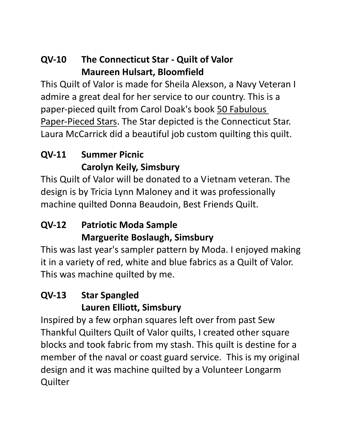#### **QV-10 The Connecticut Star - Quilt of Valor Maureen Hulsart, Bloomfield**

This Quilt of Valor is made for Sheila Alexson, a Navy Veteran I admire a great deal for her service to our country. This is a paper-pieced quilt from Carol Doak's book 50 Fabulous Paper-Pieced Stars. The Star depicted is the Connecticut Star. Laura McCarrick did a beautiful job custom quilting this quilt.

### **QV-11 Summer Picnic Carolyn Keily, Simsbury**

This Quilt of Valor will be donated to a Vietnam veteran. The design is by Tricia Lynn Maloney and it was professionally machine quilted Donna Beaudoin, Best Friends Quilt.

### **QV-12 Patriotic Moda Sample Marguerite Boslaugh, Simsbury**

This was last year's sampler pattern by Moda. I enjoyed making it in a variety of red, white and blue fabrics as a Quilt of Valor. This was machine quilted by me.

## **QV-13 Star Spangled Lauren Elliott, Simsbury**

Inspired by a few orphan squares left over from past Sew Thankful Quilters Quilt of Valor quilts, I created other square blocks and took fabric from my stash. This quilt is destine for a member of the naval or coast guard service. This is my original design and it was machine quilted by a Volunteer Longarm **Quilter**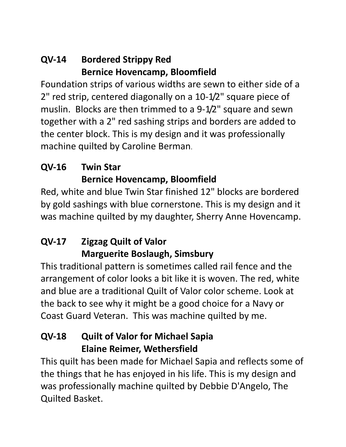#### **QV-14 Bordered Strippy Red Bernice Hovencamp, Bloomfield**

Foundation strips of various widths are sewn to either side of a 2" red strip, centered diagonally on a 10-1/2" square piece of muslin. Blocks are then trimmed to a 9-1/2" square and sewn together with a 2" red sashing strips and borders are added to the center block. This is my design and it was professionally machine quilted by Caroline Berman.

### **QV-16 Twin Star Bernice Hovencamp, Bloomfield**

Red, white and blue Twin Star finished 12" blocks are bordered by gold sashings with blue cornerstone. This is my design and it was machine quilted by my daughter, Sherry Anne Hovencamp.

## **QV-17 Zigzag Quilt of Valor Marguerite Boslaugh, Simsbury**

This traditional pattern is sometimes called rail fence and the arrangement of color looks a bit like it is woven. The red, white and blue are a traditional Quilt of Valor color scheme. Look at the back to see why it might be a good choice for a Navy or Coast Guard Veteran. This was machine quilted by me.

### **QV-18 Quilt of Valor for Michael Sapia Elaine Reimer, Wethersfield**

This quilt has been made for Michael Sapia and reflects some of the things that he has enjoyed in his life. This is my design and was professionally machine quilted by Debbie D'Angelo, The Quilted Basket.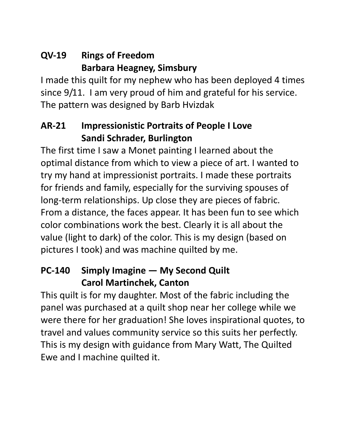### **QV-19 Rings of Freedom Barbara Heagney, Simsbury**

I made this quilt for my nephew who has been deployed 4 times since 9/11. I am very proud of him and grateful for his service. The pattern was designed by Barb Hvizdak

#### **AR-21 Impressionistic Portraits of People I Love Sandi Schrader, Burlington**

The first time I saw a Monet painting I learned about the optimal distance from which to view a piece of art. I wanted to try my hand at impressionist portraits. I made these portraits for friends and family, especially for the surviving spouses of long-term relationships. Up close they are pieces of fabric. From a distance, the faces appear. It has been fun to see which color combinations work the best. Clearly it is all about the value (light to dark) of the color. This is my design (based on pictures I took) and was machine quilted by me.

#### **PC-140 Simply Imagine — My Second Quilt Carol Martinchek, Canton**

This quilt is for my daughter. Most of the fabric including the panel was purchased at a quilt shop near her college while we were there for her graduation! She loves inspirational quotes, to travel and values community service so this suits her perfectly. This is my design with guidance from Mary Watt, The Quilted Ewe and I machine quilted it.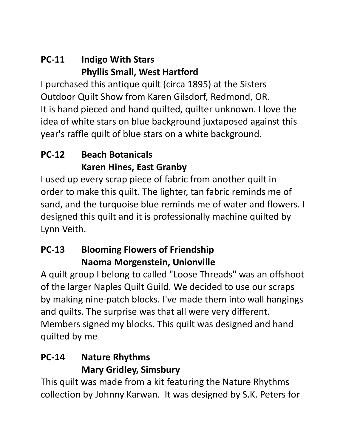#### **PC-11 Indigo With Stars Phyllis Small, West Hartford**

I purchased this antique quilt (circa 1895) at the Sisters Outdoor Quilt Show from Karen Gilsdorf, Redmond, OR. It is hand pieced and hand quilted, quilter unknown. I love the idea of white stars on blue background juxtaposed against this year's raffle quilt of blue stars on a white background.

### **PC-12 Beach Botanicals Karen Hines, East Granby**

I used up every scrap piece of fabric from another quilt in order to make this quilt. The lighter, tan fabric reminds me of sand, and the turquoise blue reminds me of water and flowers. I designed this quilt and it is professionally machine quilted by Lynn Veith.

### **PC-13 Blooming Flowers of Friendship Naoma Morgenstein, Unionville**

A quilt group I belong to called "Loose Threads" was an offshoot of the larger Naples Quilt Guild. We decided to use our scraps by making nine-patch blocks. I've made them into wall hangings and quilts. The surprise was that all were very different. Members signed my blocks. This quilt was designed and hand quilted by me.

### **PC-14 Nature Rhythms Mary Gridley, Simsbury**

This quilt was made from a kit featuring the Nature Rhythms collection by Johnny Karwan. It was designed by S.K. Peters for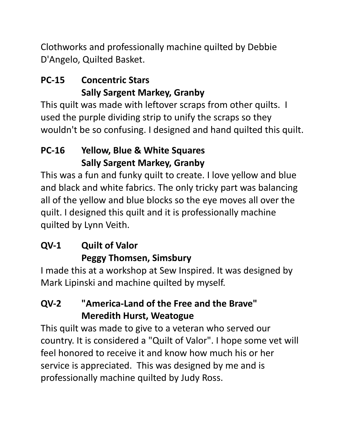Clothworks and professionally machine quilted by Debbie D'Angelo, Quilted Basket.

### **PC-15 Concentric Stars Sally Sargent Markey, Granby**

This quilt was made with leftover scraps from other quilts. I used the purple dividing strip to unify the scraps so they wouldn't be so confusing. I designed and hand quilted this quilt.

## **PC-16 Yellow, Blue & White Squares Sally Sargent Markey, Granby**

This was a fun and funky quilt to create. I love yellow and blue and black and white fabrics. The only tricky part was balancing all of the yellow and blue blocks so the eye moves all over the quilt. I designed this quilt and it is professionally machine quilted by Lynn Veith.

### **QV-1 Quilt of Valor Peggy Thomsen, Simsbury**

I made this at a workshop at Sew Inspired. It was designed by Mark Lipinski and machine quilted by myself.

### **QV-2 "America-Land of the Free and the Brave" Meredith Hurst, Weatogue**

This quilt was made to give to a veteran who served our country. It is considered a "Quilt of Valor". I hope some vet will feel honored to receive it and know how much his or her service is appreciated. This was designed by me and is professionally machine quilted by Judy Ross.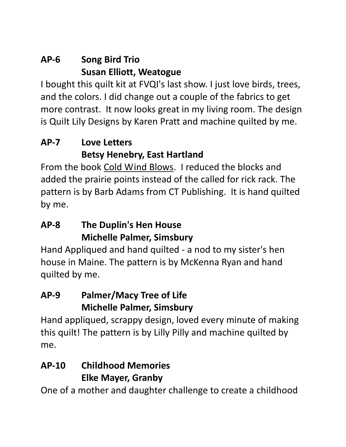#### **AP-6 Song Bird Trio Susan Elliott, Weatogue**

I bought this quilt kit at FVQI's last show. I just love birds, trees, and the colors. I did change out a couple of the fabrics to get more contrast. It now looks great in my living room. The design is Quilt Lily Designs by Karen Pratt and machine quilted by me.

### **AP-7 Love Letters Betsy Henebry, East Hartland**

From the book Cold Wind Blows. I reduced the blocks and added the prairie points instead of the called for rick rack. The pattern is by Barb Adams from CT Publishing. It is hand quilted by me.

### **AP-8 The Duplin's Hen House Michelle Palmer, Simsbury**

Hand Appliqued and hand quilted - a nod to my sister's hen house in Maine. The pattern is by McKenna Ryan and hand quilted by me.

#### **AP-9 Palmer/Macy Tree of Life Michelle Palmer, Simsbury**

Hand appliqued, scrappy design, loved every minute of making this quilt! The pattern is by Lilly Pilly and machine quilted by me.

### **AP-10 Childhood Memories Elke Mayer, Granby**

One of a mother and daughter challenge to create a childhood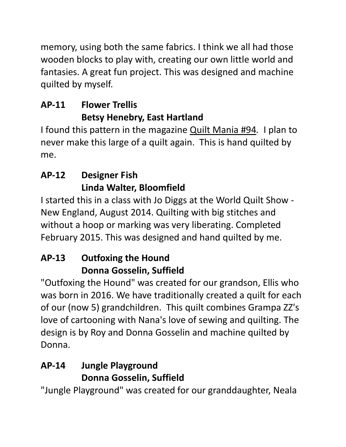memory, using both the same fabrics. I think we all had those wooden blocks to play with, creating our own little world and fantasies. A great fun project. This was designed and machine quilted by myself.

### **AP-11 Flower Trellis Betsy Henebry, East Hartland**

I found this pattern in the magazine Quilt Mania #94*.* I plan to never make this large of a quilt again. This is hand quilted by me.

### **AP-12 Designer Fish Linda Walter, Bloomfield**

I started this in a class with Jo Diggs at the World Quilt Show - New England, August 2014. Quilting with big stitches and without a hoop or marking was very liberating. Completed February 2015. This was designed and hand quilted by me.

## **AP-13 Outfoxing the Hound Donna Gosselin, Suffield**

"Outfoxing the Hound" was created for our grandson, Ellis who was born in 2016. We have traditionally created a quilt for each of our (now 5) grandchildren. This quilt combines Grampa ZZ's love of cartooning with Nana's love of sewing and quilting. The design is by Roy and Donna Gosselin and machine quilted by Donna.

## **AP-14 Jungle Playground Donna Gosselin, Suffield**

"Jungle Playground" was created for our granddaughter, Neala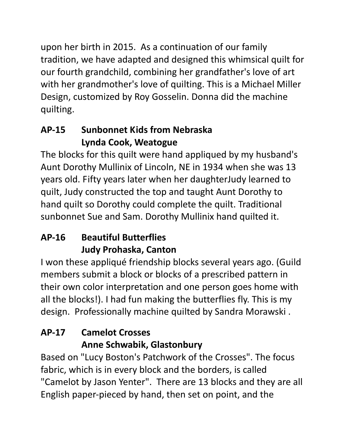upon her birth in 2015. As a continuation of our family tradition, we have adapted and designed this whimsical quilt for our fourth grandchild, combining her grandfather's love of art with her grandmother's love of quilting. This is a Michael Miller Design, customized by Roy Gosselin. Donna did the machine quilting.

## **AP-15 Sunbonnet Kids from Nebraska Lynda Cook, Weatogue**

The blocks for this quilt were hand appliqued by my husband's Aunt Dorothy Mullinix of Lincoln, NE in 1934 when she was 13 years old. Fifty years later when her daughterJudy learned to quilt, Judy constructed the top and taught Aunt Dorothy to hand quilt so Dorothy could complete the quilt. Traditional sunbonnet Sue and Sam. Dorothy Mullinix hand quilted it.

## **AP-16 Beautiful Butterflies Judy Prohaska, Canton**

I won these appliqué friendship blocks several years ago. (Guild members submit a block or blocks of a prescribed pattern in their own color interpretation and one person goes home with all the blocks!). I had fun making the butterflies fly. This is my design. Professionally machine quilted by Sandra Morawski .

## **AP-17 Camelot Crosses Anne Schwabik, Glastonbury**

Based on "Lucy Boston's Patchwork of the Crosses". The focus fabric, which is in every block and the borders, is called "Camelot by Jason Yenter". There are 13 blocks and they are all English paper-pieced by hand, then set on point, and the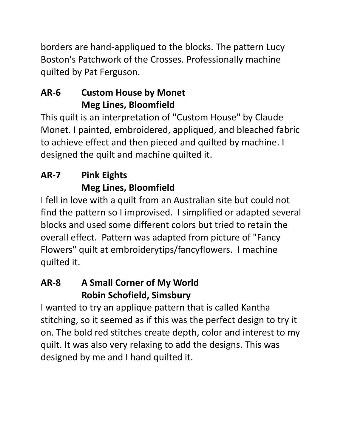borders are hand-appliqued to the blocks. The pattern Lucy Boston's Patchwork of the Crosses. Professionally machine quilted by Pat Ferguson.

### **AR-6 Custom House by Monet Meg Lines, Bloomfield**

This quilt is an interpretation of "Custom House" by Claude Monet. I painted, embroidered, appliqued, and bleached fabric to achieve effect and then pieced and quilted by machine. I designed the quilt and machine quilted it.

## **AR-7 Pink Eights Meg Lines, Bloomfield**

I fell in love with a quilt from an Australian site but could not find the pattern so I improvised. I simplified or adapted several blocks and used some different colors but tried to retain the overall effect. Pattern was adapted from picture of "Fancy Flowers" quilt at embroiderytips/fancyflowers. I machine quilted it.

### **AR-8 A Small Corner of My World Robin Schofield, Simsbury**

I wanted to try an applique pattern that is called Kantha stitching, so it seemed as if this was the perfect design to try it on. The bold red stitches create depth, color and interest to my quilt. It was also very relaxing to add the designs. This was designed by me and I hand quilted it.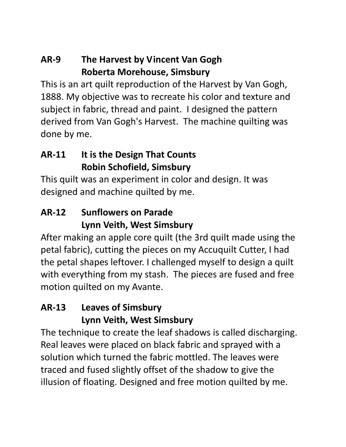### **AR-9 The Harvest by Vincent Van Gogh Roberta Morehouse, Simsbury**

This is an art quilt reproduction of the Harvest by Van Gogh, 1888. My objective was to recreate his color and texture and subject in fabric, thread and paint. I designed the pattern derived from Van Gogh's Harvest. The machine quilting was done by me.

### **AR-11 It is the Design That Counts Robin Schofield, Simsbury**

This quilt was an experiment in color and design. It was designed and machine quilted by me.

#### **AR-12 Sunflowers on Parade Lynn Veith, West Simsbury**

After making an apple core quilt (the 3rd quilt made using the petal fabric), cutting the pieces on my Accuquilt Cutter, I had the petal shapes leftover. I challenged myself to design a quilt with everything from my stash. The pieces are fused and free motion quilted on my Avante.

#### **AR-13 Leaves of Simsbury Lynn Veith, West Simsbury**

The technique to create the leaf shadows is called discharging. Real leaves were placed on black fabric and sprayed with a solution which turned the fabric mottled. The leaves were traced and fused slightly offset of the shadow to give the illusion of floating. Designed and free motion quilted by me.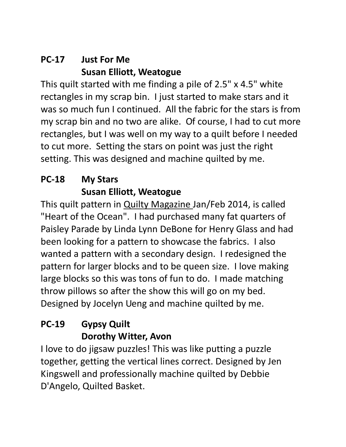#### **PC-17 Just For Me Susan Elliott, Weatogue**

This quilt started with me finding a pile of 2.5" x 4.5" white rectangles in my scrap bin. I just started to make stars and it was so much fun I continued. All the fabric for the stars is from my scrap bin and no two are alike. Of course, I had to cut more rectangles, but I was well on my way to a quilt before I needed to cut more. Setting the stars on point was just the right setting. This was designed and machine quilted by me.

## **PC-18 My Stars Susan Elliott, Weatogue**

This quilt pattern in Quilty Magazine Jan/Feb 2014, is called "Heart of the Ocean". I had purchased many fat quarters of Paisley Parade by Linda Lynn DeBone for Henry Glass and had been looking for a pattern to showcase the fabrics. I also wanted a pattern with a secondary design. I redesigned the pattern for larger blocks and to be queen size. I love making large blocks so this was tons of fun to do. I made matching throw pillows so after the show this will go on my bed. Designed by Jocelyn Ueng and machine quilted by me.

### **PC-19 Gypsy Quilt Dorothy Witter, Avon**

I love to do jigsaw puzzles! This was like putting a puzzle together, getting the vertical lines correct. Designed by Jen Kingswell and professionally machine quilted by Debbie D'Angelo, Quilted Basket.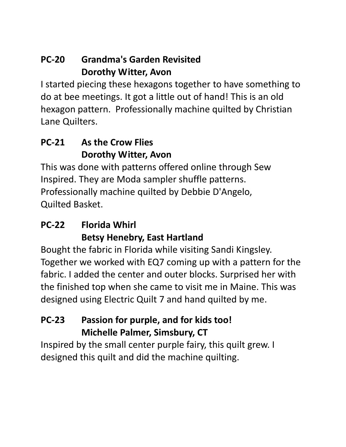#### **PC-20 Grandma's Garden Revisited Dorothy Witter, Avon**

I started piecing these hexagons together to have something to do at bee meetings. It got a little out of hand! This is an old hexagon pattern. Professionally machine quilted by Christian Lane Quilters.

#### **PC-21 As the Crow Flies Dorothy Witter, Avon**

This was done with patterns offered online through Sew Inspired. They are Moda sampler shuffle patterns. Professionally machine quilted by Debbie D'Angelo, Quilted Basket.

#### **PC-22 Florida Whirl Betsy Henebry, East Hartland**

Bought the fabric in Florida while visiting Sandi Kingsley. Together we worked with EQ7 coming up with a pattern for the fabric. I added the center and outer blocks. Surprised her with the finished top when she came to visit me in Maine. This was designed using Electric Quilt 7 and hand quilted by me.

#### **PC-23 Passion for purple, and for kids too! Michelle Palmer, Simsbury, CT**

Inspired by the small center purple fairy, this quilt grew. I designed this quilt and did the machine quilting.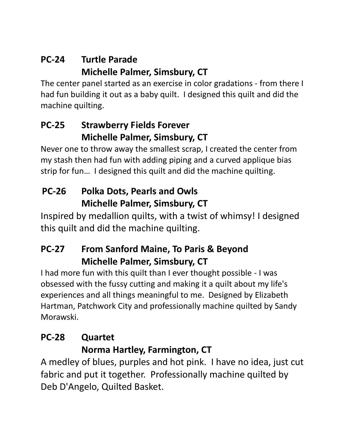#### **PC-24 Turtle Parade Michelle Palmer, Simsbury, CT**

The center panel started as an exercise in color gradations - from there I had fun building it out as a baby quilt. I designed this quilt and did the machine quilting.

#### **PC-25 Strawberry Fields Forever Michelle Palmer, Simsbury, CT**

Never one to throw away the smallest scrap, I created the center from my stash then had fun with adding piping and a curved applique bias strip for fun… I designed this quilt and did the machine quilting.

## **PC-26 Polka Dots, Pearls and Owls Michelle Palmer, Simsbury, CT**

Inspired by medallion quilts, with a twist of whimsy! I designed this quilt and did the machine quilting.

## **PC-27 From Sanford Maine, To Paris & Beyond Michelle Palmer, Simsbury, CT**

I had more fun with this quilt than I ever thought possible - I was obsessed with the fussy cutting and making it a quilt about my life's experiences and all things meaningful to me. Designed by Elizabeth Hartman, Patchwork City and professionally machine quilted by Sandy Morawski.

### **PC-28 Quartet Norma Hartley, Farmington, CT**

A medley of blues, purples and hot pink. I have no idea, just cut fabric and put it together. Professionally machine quilted by Deb D'Angelo, Quilted Basket.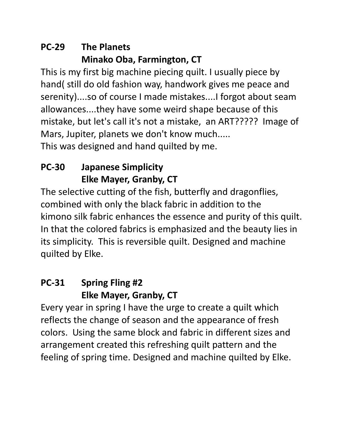### **PC-29 The Planets Minako Oba, Farmington, CT**

This is my first big machine piecing quilt. I usually piece by hand( still do old fashion way, handwork gives me peace and serenity)....so of course I made mistakes....I forgot about seam allowances....they have some weird shape because of this mistake, but let's call it's not a mistake, an ART????? Image of Mars, Jupiter, planets we don't know much..... This was designed and hand quilted by me.

## **PC-30 Japanese Simplicity Elke Mayer, Granby, CT**

The selective cutting of the fish, butterfly and dragonflies, combined with only the black fabric in addition to the kimono silk fabric enhances the essence and purity of this quilt. In that the colored fabrics is emphasized and the beauty lies in its simplicity. This is reversible quilt. Designed and machine quilted by Elke.

#### **PC-31 Spring Fling #2 Elke Mayer, Granby, CT**

Every year in spring I have the urge to create a quilt which reflects the change of season and the appearance of fresh colors. Using the same block and fabric in different sizes and arrangement created this refreshing quilt pattern and the feeling of spring time. Designed and machine quilted by Elke.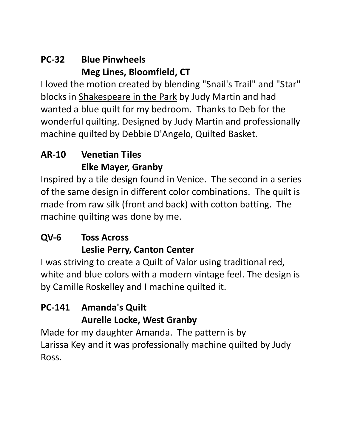#### **PC-32 Blue Pinwheels Meg Lines, Bloomfield, CT**

I loved the motion created by blending "Snail's Trail" and "Star" blocks in Shakespeare in the Park by Judy Martin and had wanted a blue quilt for my bedroom. Thanks to Deb for the wonderful quilting. Designed by Judy Martin and professionally machine quilted by Debbie D'Angelo, Quilted Basket.

### **AR-10 Venetian Tiles Elke Mayer, Granby**

Inspired by a tile design found in Venice. The second in a series of the same design in different color combinations. The quilt is made from raw silk (front and back) with cotton batting. The machine quilting was done by me.

### **QV-6 Toss Across Leslie Perry, Canton Center**

I was striving to create a Quilt of Valor using traditional red, white and blue colors with a modern vintage feel. The design is by Camille Roskelley and I machine quilted it.

#### **PC-141 Amanda's Quilt Aurelle Locke, West Granby**

Made for my daughter Amanda. The pattern is by Larissa Key and it was professionally machine quilted by Judy Ross.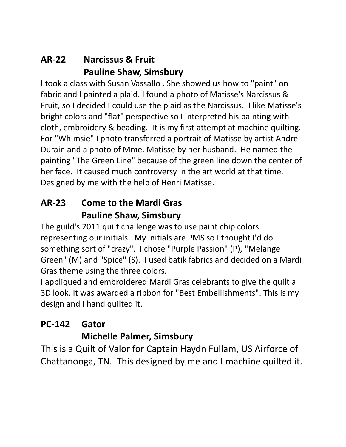#### **AR-22 Narcissus & Fruit Pauline Shaw, Simsbury**

I took a class with Susan Vassallo . She showed us how to "paint" on fabric and I painted a plaid. I found a photo of Matisse's Narcissus & Fruit, so I decided I could use the plaid as the Narcissus. I like Matisse's bright colors and "flat" perspective so I interpreted his painting with cloth, embroidery & beading. It is my first attempt at machine quilting. For "Whimsie" I photo transferred a portrait of Matisse by artist Andre Durain and a photo of Mme. Matisse by her husband. He named the painting "The Green Line" because of the green line down the center of her face. It caused much controversy in the art world at that time. Designed by me with the help of Henri Matisse.

#### **AR-23 Come to the Mardi Gras Pauline Shaw, Simsbury**

The guild's 2011 quilt challenge was to use paint chip colors representing our initials. My initials are PMS so I thought I'd do something sort of "crazy". I chose "Purple Passion" (P), "Melange Green" (M) and "Spice" (S). I used batik fabrics and decided on a Mardi Gras theme using the three colors.

I appliqued and embroidered Mardi Gras celebrants to give the quilt a 3D look. It was awarded a ribbon for "Best Embellishments". This is my design and I hand quilted it.

# **PC-142 Gator**

#### **Michelle Palmer, Simsbury**

This is a Quilt of Valor for Captain Haydn Fullam, US Airforce of Chattanooga, TN. This designed by me and I machine quilted it.